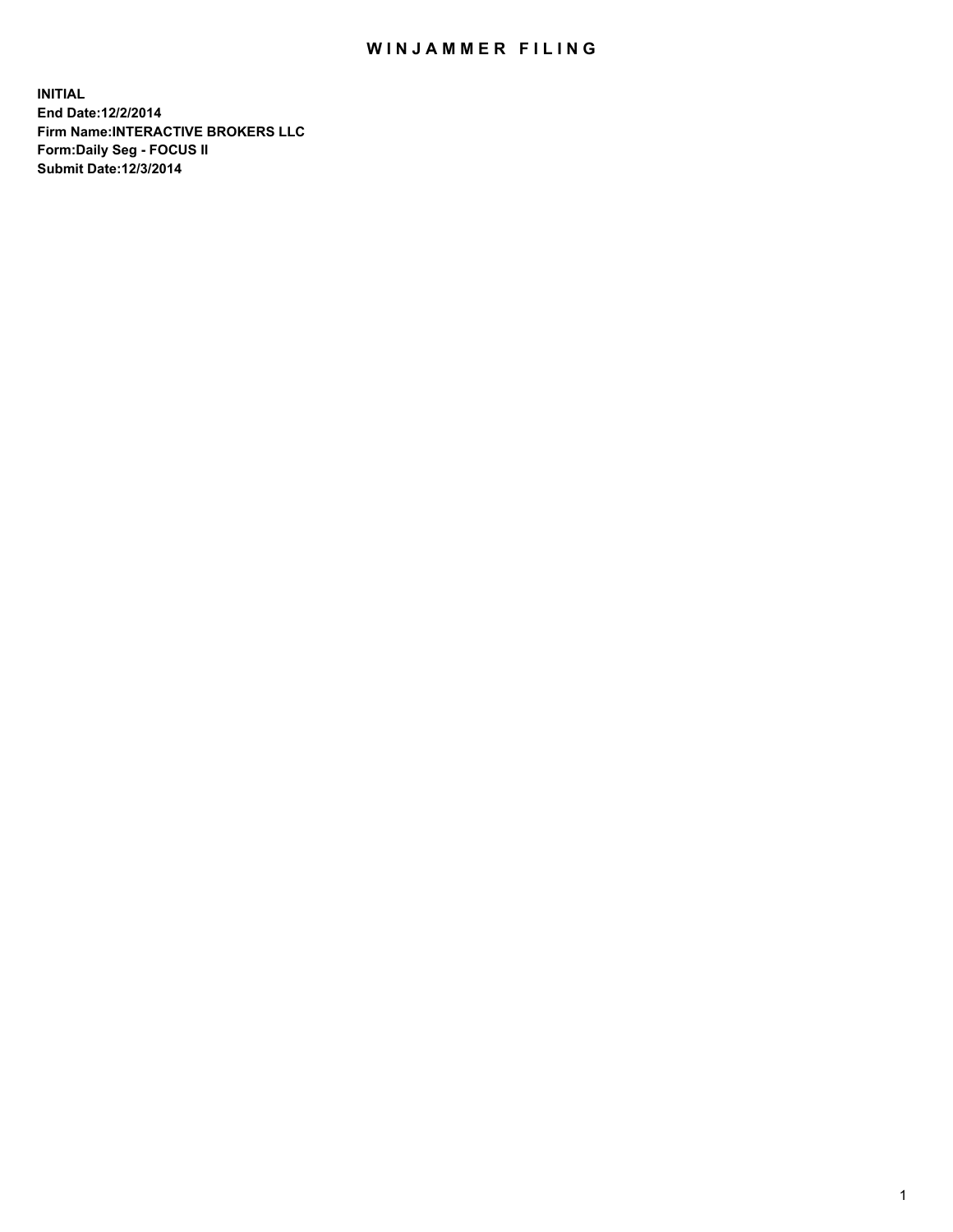## WIN JAMMER FILING

**INITIAL End Date:12/2/2014 Firm Name:INTERACTIVE BROKERS LLC Form:Daily Seg - FOCUS II Submit Date:12/3/2014**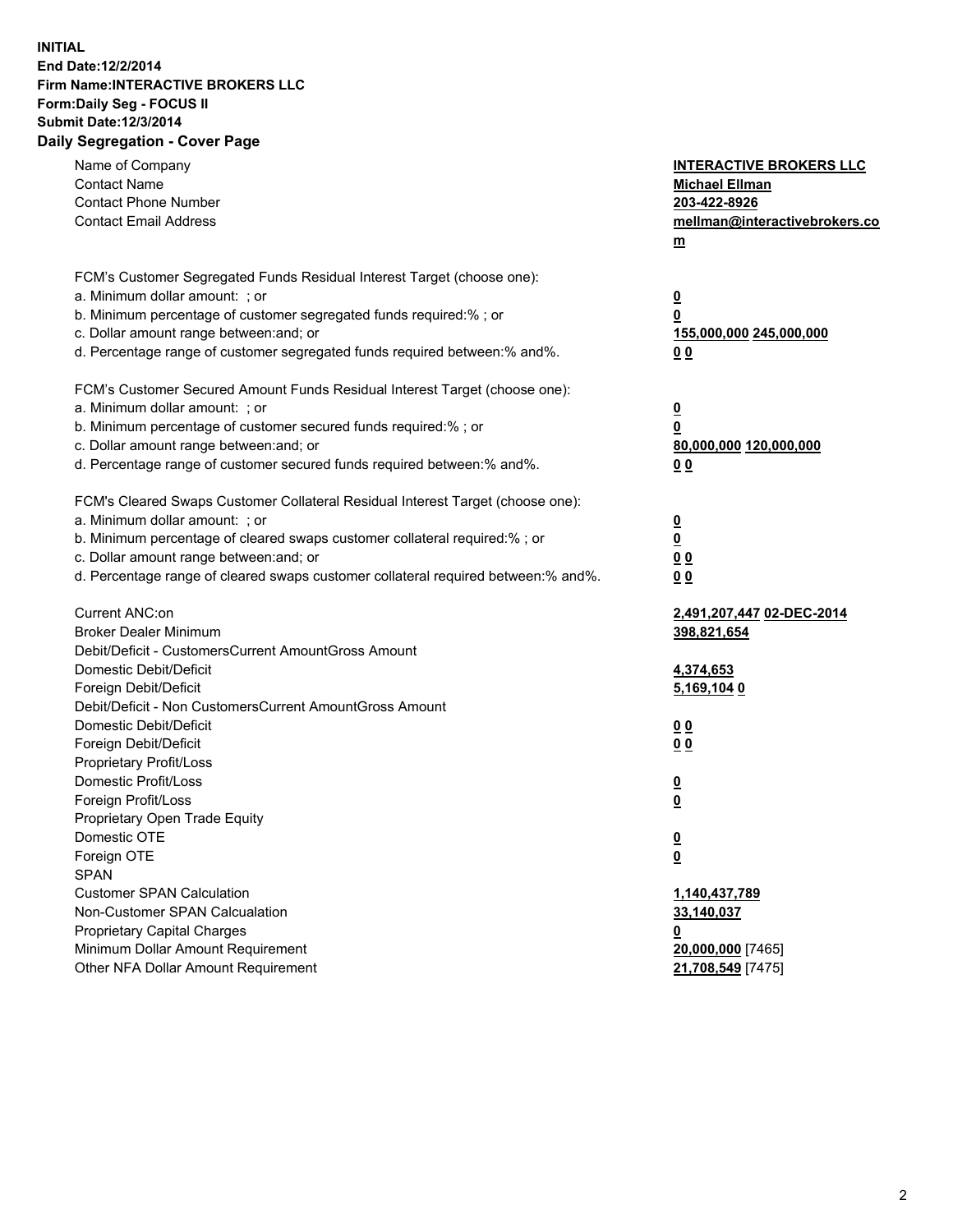## **INITIAL End Date:12/2/2014 Firm Name:INTERACTIVE BROKERS LLC Form:Daily Seg - FOCUS II Submit Date:12/3/2014 Daily Segregation - Cover Page**

| Name of Company<br><b>Contact Name</b><br><b>Contact Phone Number</b><br><b>Contact Email Address</b>         | <b>INTERACTIVE BROKERS LLC</b><br><b>Michael Ellman</b><br>203-422-8926<br>mellman@interactivebrokers.co<br>$m$ |
|---------------------------------------------------------------------------------------------------------------|-----------------------------------------------------------------------------------------------------------------|
| FCM's Customer Segregated Funds Residual Interest Target (choose one):                                        |                                                                                                                 |
| a. Minimum dollar amount: ; or                                                                                | $\overline{\mathbf{0}}$                                                                                         |
| b. Minimum percentage of customer segregated funds required:% ; or<br>c. Dollar amount range between: and; or | 0                                                                                                               |
| d. Percentage range of customer segregated funds required between:% and%.                                     | 155,000,000 245,000,000<br>0 <sub>0</sub>                                                                       |
|                                                                                                               |                                                                                                                 |
| FCM's Customer Secured Amount Funds Residual Interest Target (choose one):                                    |                                                                                                                 |
| a. Minimum dollar amount: ; or                                                                                | $\overline{\mathbf{0}}$                                                                                         |
| b. Minimum percentage of customer secured funds required:% ; or                                               | 0                                                                                                               |
| c. Dollar amount range between: and; or                                                                       | 80,000,000 120,000,000                                                                                          |
| d. Percentage range of customer secured funds required between:% and%.                                        | 0 <sub>0</sub>                                                                                                  |
|                                                                                                               |                                                                                                                 |
| FCM's Cleared Swaps Customer Collateral Residual Interest Target (choose one):                                |                                                                                                                 |
| a. Minimum dollar amount: ; or                                                                                | $\overline{\mathbf{0}}$                                                                                         |
| b. Minimum percentage of cleared swaps customer collateral required:% ; or                                    | $\overline{\mathbf{0}}$                                                                                         |
| c. Dollar amount range between: and; or                                                                       | 0 <sub>0</sub>                                                                                                  |
| d. Percentage range of cleared swaps customer collateral required between:% and%.                             | 0 <sub>0</sub>                                                                                                  |
| Current ANC:on                                                                                                | 2,491,207,447 02-DEC-2014                                                                                       |
| <b>Broker Dealer Minimum</b>                                                                                  | 398,821,654                                                                                                     |
| Debit/Deficit - CustomersCurrent AmountGross Amount                                                           |                                                                                                                 |
| Domestic Debit/Deficit                                                                                        | 4,374,653                                                                                                       |
| Foreign Debit/Deficit                                                                                         | 5,169,104 0                                                                                                     |
| Debit/Deficit - Non CustomersCurrent AmountGross Amount                                                       |                                                                                                                 |
| Domestic Debit/Deficit                                                                                        | 0 <sub>0</sub>                                                                                                  |
| Foreign Debit/Deficit                                                                                         | 0 <sub>0</sub>                                                                                                  |
| Proprietary Profit/Loss                                                                                       |                                                                                                                 |
| Domestic Profit/Loss                                                                                          | $\overline{\mathbf{0}}$                                                                                         |
| Foreign Profit/Loss                                                                                           | $\underline{\mathbf{0}}$                                                                                        |
| Proprietary Open Trade Equity                                                                                 |                                                                                                                 |
| Domestic OTE                                                                                                  | <u>0</u>                                                                                                        |
| Foreign OTE                                                                                                   | <u>0</u>                                                                                                        |
| <b>SPAN</b>                                                                                                   |                                                                                                                 |
| <b>Customer SPAN Calculation</b>                                                                              | 1,140,437,789                                                                                                   |
| Non-Customer SPAN Calcualation                                                                                | 33,140,037                                                                                                      |
| Proprietary Capital Charges                                                                                   | <u>0</u>                                                                                                        |
| Minimum Dollar Amount Requirement                                                                             | 20,000,000 [7465]                                                                                               |
| Other NFA Dollar Amount Requirement                                                                           | 21,708,549 [7475]                                                                                               |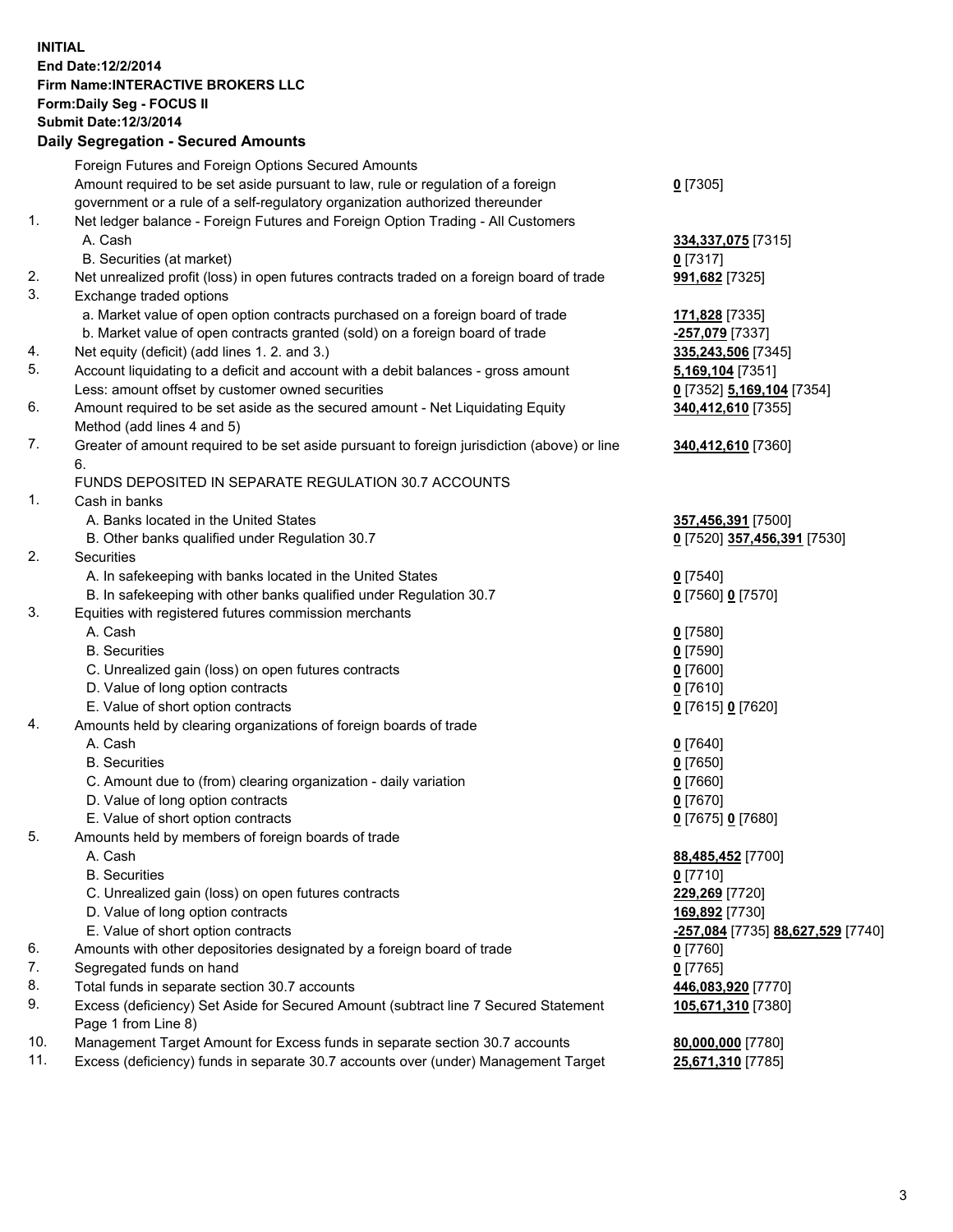## **INITIAL End Date:12/2/2014 Firm Name:INTERACTIVE BROKERS LLC Form:Daily Seg - FOCUS II Submit Date:12/3/2014 Daily Segregation - Secured Amounts**

|                | Daily Ocglegation - Occarea Anioants                                                                       |                                   |
|----------------|------------------------------------------------------------------------------------------------------------|-----------------------------------|
|                | Foreign Futures and Foreign Options Secured Amounts                                                        |                                   |
|                | Amount required to be set aside pursuant to law, rule or regulation of a foreign                           | $0$ [7305]                        |
|                | government or a rule of a self-regulatory organization authorized thereunder                               |                                   |
| 1.             | Net ledger balance - Foreign Futures and Foreign Option Trading - All Customers                            |                                   |
|                | A. Cash                                                                                                    | 334,337,075 [7315]                |
|                | B. Securities (at market)                                                                                  | $0$ [7317]                        |
| 2.             | Net unrealized profit (loss) in open futures contracts traded on a foreign board of trade                  | 991,682 [7325]                    |
| 3.             | Exchange traded options                                                                                    |                                   |
|                | a. Market value of open option contracts purchased on a foreign board of trade                             | 171,828 [7335]                    |
|                | b. Market value of open contracts granted (sold) on a foreign board of trade                               | -257,079 [7337]                   |
| 4.             | Net equity (deficit) (add lines 1.2. and 3.)                                                               | 335,243,506 [7345]                |
| 5.             | Account liquidating to a deficit and account with a debit balances - gross amount                          | 5,169,104 [7351]                  |
|                | Less: amount offset by customer owned securities                                                           | 0 [7352] 5,169,104 [7354]         |
| 6.             | Amount required to be set aside as the secured amount - Net Liquidating Equity                             | 340,412,610 [7355]                |
|                | Method (add lines 4 and 5)                                                                                 |                                   |
| 7.             | Greater of amount required to be set aside pursuant to foreign jurisdiction (above) or line                | 340,412,610 [7360]                |
|                | 6.                                                                                                         |                                   |
|                | FUNDS DEPOSITED IN SEPARATE REGULATION 30.7 ACCOUNTS                                                       |                                   |
| $\mathbf{1}$ . | Cash in banks                                                                                              |                                   |
|                | A. Banks located in the United States                                                                      | 357,456,391 [7500]                |
|                | B. Other banks qualified under Regulation 30.7                                                             | 0 [7520] 357,456,391 [7530]       |
| 2.             | Securities                                                                                                 |                                   |
|                | A. In safekeeping with banks located in the United States                                                  | $0$ [7540]                        |
|                | B. In safekeeping with other banks qualified under Regulation 30.7                                         | 0 [7560] 0 [7570]                 |
| 3.             | Equities with registered futures commission merchants                                                      |                                   |
|                | A. Cash                                                                                                    | $0$ [7580]                        |
|                | <b>B.</b> Securities                                                                                       | $0$ [7590]                        |
|                | C. Unrealized gain (loss) on open futures contracts                                                        | $0$ [7600]                        |
|                | D. Value of long option contracts                                                                          | $0$ [7610]                        |
|                | E. Value of short option contracts                                                                         | 0 [7615] 0 [7620]                 |
| 4.             | Amounts held by clearing organizations of foreign boards of trade                                          |                                   |
|                | A. Cash                                                                                                    | $0$ [7640]                        |
|                | <b>B.</b> Securities                                                                                       | $0$ [7650]                        |
|                | C. Amount due to (from) clearing organization - daily variation                                            | $0$ [7660]                        |
|                | D. Value of long option contracts                                                                          | $0$ [7670]                        |
|                | E. Value of short option contracts                                                                         | 0 [7675] 0 [7680]                 |
| 5.             | Amounts held by members of foreign boards of trade                                                         |                                   |
|                | A. Cash                                                                                                    | 88,485,452 [7700]                 |
|                | <b>B.</b> Securities                                                                                       | $0$ [7710]                        |
|                | C. Unrealized gain (loss) on open futures contracts                                                        | 229,269 [7720]                    |
|                | D. Value of long option contracts                                                                          | 169,892 [7730]                    |
|                | E. Value of short option contracts                                                                         | -257,084 [7735] 88,627,529 [7740] |
| 6.             | Amounts with other depositories designated by a foreign board of trade                                     | 0 [7760]                          |
| 7.             | Segregated funds on hand                                                                                   | $0$ [7765]                        |
| 8.             | Total funds in separate section 30.7 accounts                                                              | 446,083,920 [7770]                |
| 9.             | Excess (deficiency) Set Aside for Secured Amount (subtract line 7 Secured Statement<br>Page 1 from Line 8) | 105,671,310 [7380]                |
| 10.            | Management Target Amount for Excess funds in separate section 30.7 accounts                                | 80,000,000 [7780]                 |
| 11.            | Excess (deficiency) funds in separate 30.7 accounts over (under) Management Target                         | 25,671,310 [7785]                 |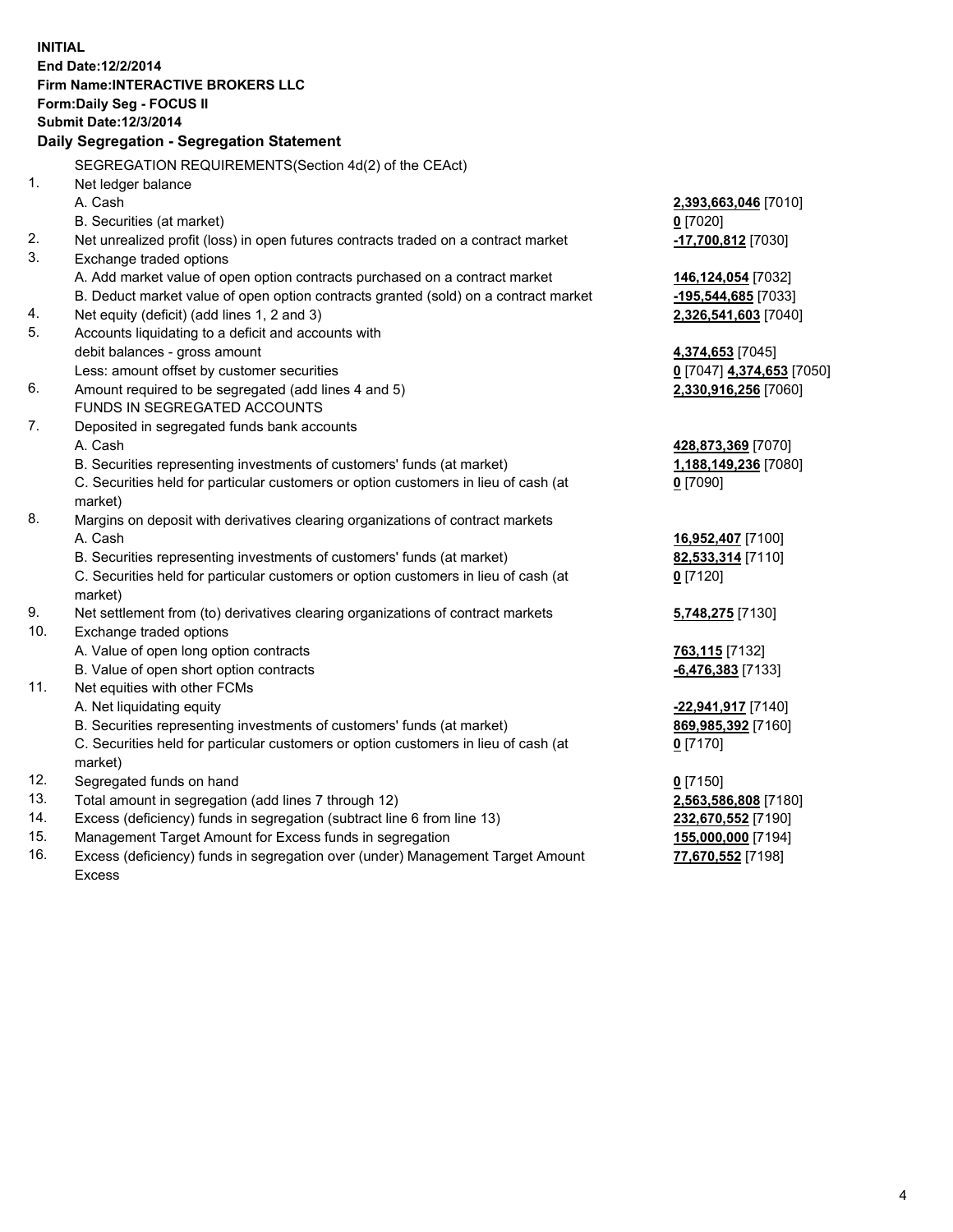**INITIAL End Date:12/2/2014 Firm Name:INTERACTIVE BROKERS LLC Form:Daily Seg - FOCUS II Submit Date:12/3/2014 Daily Segregation - Segregation Statement** SEGREGATION REQUIREMENTS(Section 4d(2) of the CEAct) 1. Net ledger balance A. Cash **2,393,663,046** [7010] B. Securities (at market) **0** [7020] 2. Net unrealized profit (loss) in open futures contracts traded on a contract market **-17,700,812** [7030] 3. Exchange traded options A. Add market value of open option contracts purchased on a contract market **146,124,054** [7032] B. Deduct market value of open option contracts granted (sold) on a contract market **-195,544,685** [7033] 4. Net equity (deficit) (add lines 1, 2 and 3) **2,326,541,603** [7040] 5. Accounts liquidating to a deficit and accounts with debit balances - gross amount **4,374,653** [7045] Less: amount offset by customer securities **0** [7047] **4,374,653** [7050] 6. Amount required to be segregated (add lines 4 and 5) **2,330,916,256** [7060] FUNDS IN SEGREGATED ACCOUNTS 7. Deposited in segregated funds bank accounts A. Cash **428,873,369** [7070] B. Securities representing investments of customers' funds (at market) **1,188,149,236** [7080] C. Securities held for particular customers or option customers in lieu of cash (at market) **0** [7090] 8. Margins on deposit with derivatives clearing organizations of contract markets A. Cash **16,952,407** [7100] B. Securities representing investments of customers' funds (at market) **82,533,314** [7110] C. Securities held for particular customers or option customers in lieu of cash (at market) **0** [7120] 9. Net settlement from (to) derivatives clearing organizations of contract markets **5,748,275** [7130] 10. Exchange traded options A. Value of open long option contracts **763,115** [7132] B. Value of open short option contracts **-6,476,383** [7133] 11. Net equities with other FCMs A. Net liquidating equity **-22,941,917** [7140] B. Securities representing investments of customers' funds (at market) **869,985,392** [7160] C. Securities held for particular customers or option customers in lieu of cash (at market) **0** [7170] 12. Segregated funds on hand **0** [7150] 13. Total amount in segregation (add lines 7 through 12) **2,563,586,808** [7180] 14. Excess (deficiency) funds in segregation (subtract line 6 from line 13) **232,670,552** [7190] 15. Management Target Amount for Excess funds in segregation **155,000,000** [7194]

16. Excess (deficiency) funds in segregation over (under) Management Target Amount Excess

**77,670,552** [7198]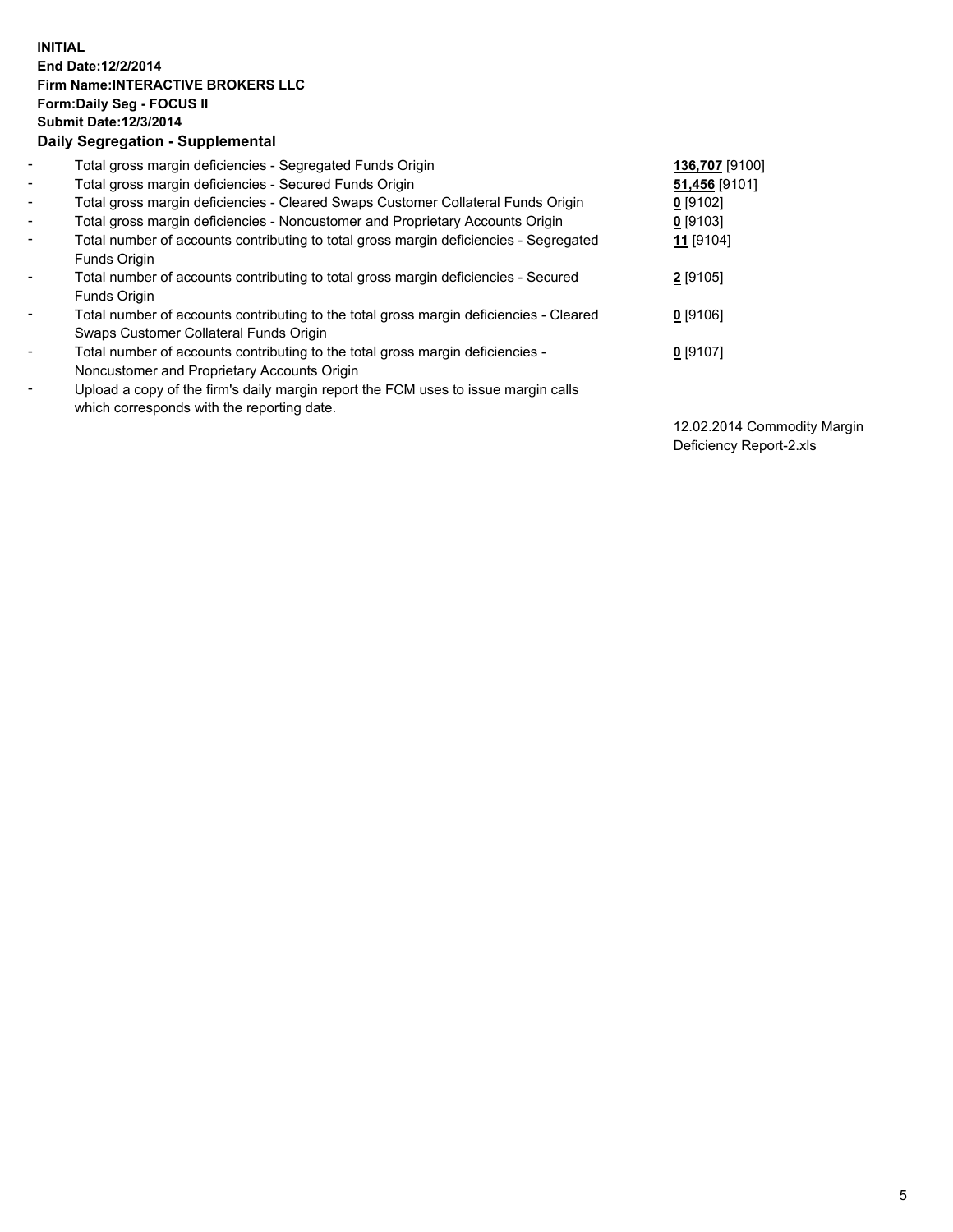## **INITIAL End Date:12/2/2014 Firm Name:INTERACTIVE BROKERS LLC Form:Daily Seg - FOCUS II Submit Date:12/3/2014 Daily Segregation - Supplemental**

| $\blacksquare$           | Total gross margin deficiencies - Segregated Funds Origin                              | 136,707 [9100]       |
|--------------------------|----------------------------------------------------------------------------------------|----------------------|
| $\sim$                   | Total gross margin deficiencies - Secured Funds Origin                                 | 51,456 [9101]        |
| $\blacksquare$           | Total gross margin deficiencies - Cleared Swaps Customer Collateral Funds Origin       | $0$ [9102]           |
| $\blacksquare$           | Total gross margin deficiencies - Noncustomer and Proprietary Accounts Origin          | $0$ [9103]           |
| $\blacksquare$           | Total number of accounts contributing to total gross margin deficiencies - Segregated  | 11 <sub>[9104]</sub> |
|                          | Funds Origin                                                                           |                      |
| $\blacksquare$           | Total number of accounts contributing to total gross margin deficiencies - Secured     | 2 [9105]             |
|                          | <b>Funds Origin</b>                                                                    |                      |
| $\blacksquare$           | Total number of accounts contributing to the total gross margin deficiencies - Cleared | $0$ [9106]           |
|                          | Swaps Customer Collateral Funds Origin                                                 |                      |
| $\overline{\phantom{a}}$ | Total number of accounts contributing to the total gross margin deficiencies -         | $0$ [9107]           |
|                          | Noncustomer and Proprietary Accounts Origin                                            |                      |
| $\overline{\phantom{a}}$ | Upload a copy of the firm's daily margin report the FCM uses to issue margin calls     |                      |
|                          | which corresponds with the reporting date.                                             |                      |

12.02.2014 Commodity Margin Deficiency Report-2.xls